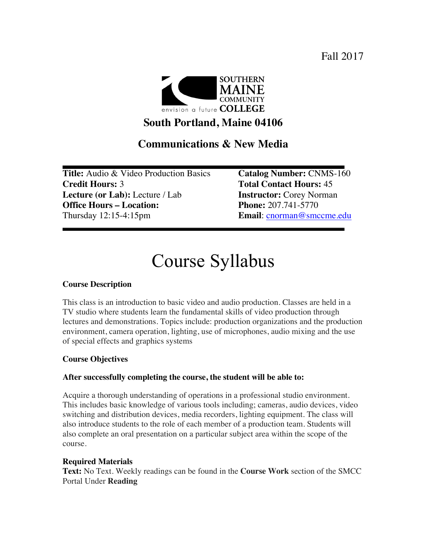Fall 2017



# **South Portland, Maine 04106**

# **Communications & New Media**

**Title:** Audio & Video Production Basics **Catalog Number:** CNMS-160 **Credit Hours:** 3 **Total Contact Hours:** 45 **Lecture (or Lab):** Lecture / Lab **Instructor:** Corey Norman **Office Hours – Location: Phone:** 207.741-5770 Thursday 12:15-4:15pm **Email**: cnorman@smccme.edu

# Course Syllabus

## **Course Description**

This class is an introduction to basic video and audio production. Classes are held in a TV studio where students learn the fundamental skills of video production through lectures and demonstrations. Topics include: production organizations and the production environment, camera operation, lighting, use of microphones, audio mixing and the use of special effects and graphics systems

## **Course Objectives**

## **After successfully completing the course, the student will be able to:**

Acquire a thorough understanding of operations in a professional studio environment. This includes basic knowledge of various tools including; cameras, audio devices, video switching and distribution devices, media recorders, lighting equipment. The class will also introduce students to the role of each member of a production team. Students will also complete an oral presentation on a particular subject area within the scope of the course.

#### **Required Materials**

**Text:** No Text. Weekly readings can be found in the **Course Work** section of the SMCC Portal Under **Reading**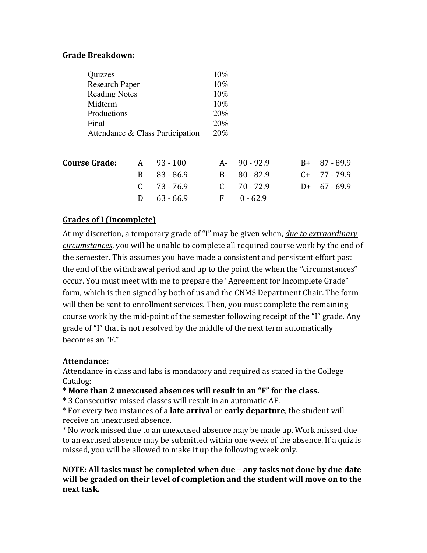## **Grade Breakdown:**

| Quizzes                          |   |             | 10%    |             |           |             |
|----------------------------------|---|-------------|--------|-------------|-----------|-------------|
| <b>Research Paper</b>            |   |             | $10\%$ |             |           |             |
| <b>Reading Notes</b>             |   |             | $10\%$ |             |           |             |
| Midterm                          |   |             | $10\%$ |             |           |             |
| Productions                      |   |             | 20%    |             |           |             |
| Final                            |   |             | 20%    |             |           |             |
| Attendance & Class Participation |   |             | 20%    |             |           |             |
|                                  |   |             |        |             |           |             |
| <b>Course Grade:</b>             | A | $93 - 100$  | A-     | $90 - 92.9$ | $B+$      | $87 - 89.9$ |
|                                  | B | $83 - 86.9$ | $B-$   | $80 - 82.9$ | $C_{\pm}$ | 77 - 79.9   |
|                                  | C | $73 - 76.9$ | $C-$   | $70 - 72.9$ | $D+$      | $67 - 69.9$ |
|                                  | D | $63 - 66.9$ | F      | $0 - 62.9$  |           |             |

# **Grades of I (Incomplete)**

At my discretion, a temporary grade of "I" may be given when, *due to extraordinary* circumstances, you will be unable to complete all required course work by the end of the semester. This assumes you have made a consistent and persistent effort past the end of the withdrawal period and up to the point the when the "circumstances" occur. You must meet with me to prepare the "Agreement for Incomplete Grade" form, which is then signed by both of us and the CNMS Department Chair. The form will then be sent to enrollment services. Then, you must complete the remaining course work by the mid-point of the semester following receipt of the "I" grade. Any grade of "I" that is not resolved by the middle of the next term automatically becomes an " $F$ "

## **Attendance:**

Attendance in class and labs is mandatory and required as stated in the College Catalog:

\* More than 2 unexcused absences will result in an "F" for the class.

**\*** 3 Consecutive missed classes will result in an automatic AF.

\* For every two instances of a **late arrival** or **early departure**, the student will receive an unexcused absence.

\* No work missed due to an unexcused absence may be made up. Work missed due to an excused absence may be submitted within one week of the absence. If a quiz is missed, you will be allowed to make it up the following week only.

# **NOTE:** All tasks must be completed when due – any tasks not done by due date will be graded on their level of completion and the student will move on to the next task.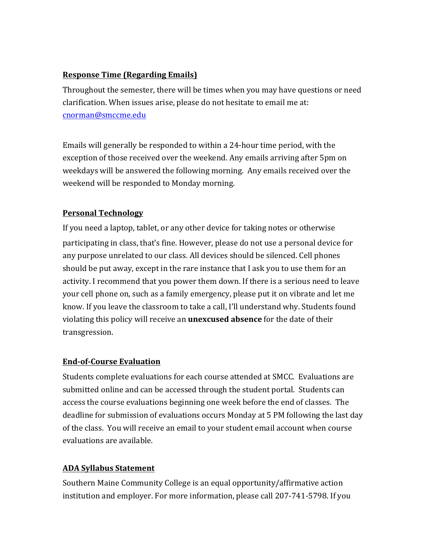# **Response Time (Regarding Emails)**

Throughout the semester, there will be times when you may have questions or need clarification. When issues arise, please do not hesitate to email me at: cnorman@smccme.edu

Emails will generally be responded to within a 24-hour time period, with the exception of those received over the weekend. Any emails arriving after 5pm on weekdays will be answered the following morning. Any emails received over the weekend will be responded to Monday morning.

# **Personal Technology**

If you need a laptop, tablet, or any other device for taking notes or otherwise participating in class, that's fine. However, please do not use a personal device for any purpose unrelated to our class. All devices should be silenced. Cell phones should be put away, except in the rare instance that I ask you to use them for an activity. I recommend that you power them down. If there is a serious need to leave your cell phone on, such as a family emergency, please put it on vibrate and let me know. If you leave the classroom to take a call, I'll understand why. Students found violating this policy will receive an **unexcused absence** for the date of their transgression.

# **End-of-Course Evaluation**

Students complete evaluations for each course attended at SMCC. Evaluations are submitted online and can be accessed through the student portal. Students can access the course evaluations beginning one week before the end of classes. The deadline for submission of evaluations occurs Monday at 5 PM following the last day of the class. You will receive an email to your student email account when course evaluations are available.

# **ADA Syllabus Statement**

Southern Maine Community College is an equal opportunity/affirmative action institution and employer. For more information, please call 207-741-5798. If you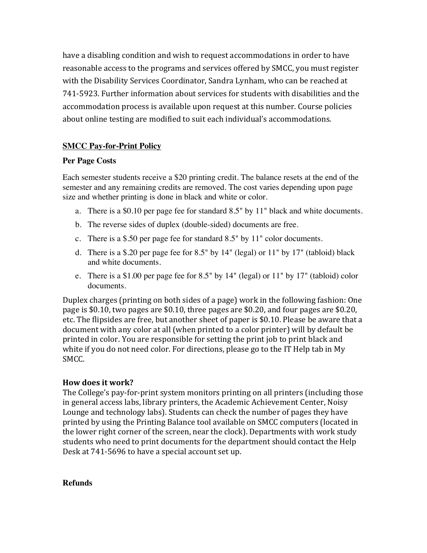have a disabling condition and wish to request accommodations in order to have reasonable access to the programs and services offered by SMCC, you must register with the Disability Services Coordinator, Sandra Lynham, who can be reached at 741-5923. Further information about services for students with disabilities and the accommodation process is available upon request at this number. Course policies about online testing are modified to suit each individual's accommodations.

# **SMCC Pay-for-Print Policy**

#### **Per Page Costs**

Each semester students receive a \$20 printing credit. The balance resets at the end of the semester and any remaining credits are removed. The cost varies depending upon page size and whether printing is done in black and white or color.

- a. There is a \$0.10 per page fee for standard 8.5" by 11" black and white documents.
- b. The reverse sides of duplex (double-sided) documents are free.
- c. There is a \$.50 per page fee for standard 8.5" by 11" color documents.
- d. There is a \$.20 per page fee for 8.5" by 14" (legal) or 11" by 17" (tabloid) black and white documents.
- e. There is a \$1.00 per page fee for 8.5" by 14" (legal) or 11" by 17" (tabloid) color documents.

Duplex charges (printing on both sides of a page) work in the following fashion: One page is \$0.10, two pages are \$0.10, three pages are \$0.20, and four pages are \$0.20, etc. The flipsides are free, but another sheet of paper is \$0.10. Please be aware that a document with any color at all (when printed to a color printer) will by default be printed in color. You are responsible for setting the print job to print black and white if you do not need color. For directions, please go to the IT Help tab in My SMCC. 

## **How does it work?**

The College's pay-for-print system monitors printing on all printers (including those in general access labs, library printers, the Academic Achievement Center, Noisy Lounge and technology labs). Students can check the number of pages they have printed by using the Printing Balance tool available on SMCC computers (located in the lower right corner of the screen, near the clock). Departments with work study students who need to print documents for the department should contact the Help Desk at 741-5696 to have a special account set up.

#### **Refunds**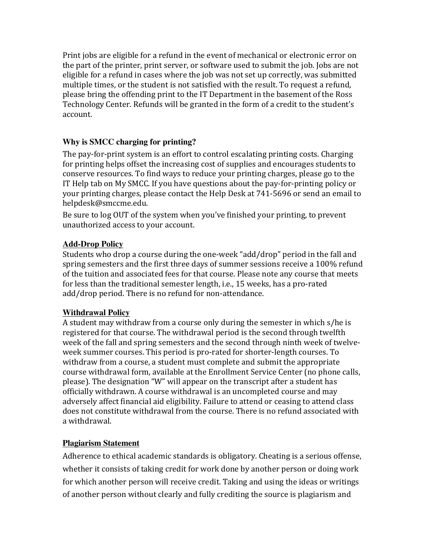Print jobs are eligible for a refund in the event of mechanical or electronic error on the part of the printer, print server, or software used to submit the job. Jobs are not eligible for a refund in cases where the job was not set up correctly, was submitted multiple times, or the student is not satisfied with the result. To request a refund, please bring the offending print to the IT Department in the basement of the Ross Technology Center. Refunds will be granted in the form of a credit to the student's account.

# **Why is SMCC charging for printing?**

The pay-for-print system is an effort to control escalating printing costs. Charging for printing helps offset the increasing cost of supplies and encourages students to conserve resources. To find ways to reduce your printing charges, please go to the IT Help tab on My SMCC. If you have questions about the pay-for-printing policy or your printing charges, please contact the Help Desk at 741-5696 or send an email to helpdesk@smccme.edu. 

Be sure to log OUT of the system when you've finished your printing, to prevent unauthorized access to your account.

# **Add-Drop Policy**

Students who drop a course during the one-week "add/drop" period in the fall and spring semesters and the first three days of summer sessions receive a 100% refund of the tuition and associated fees for that course. Please note any course that meets for less than the traditional semester length, i.e., 15 weeks, has a pro-rated add/drop period. There is no refund for non-attendance.

## **Withdrawal Policy**

A student may withdraw from a course only during the semester in which s/he is registered for that course. The withdrawal period is the second through twelfth week of the fall and spring semesters and the second through ninth week of twelveweek summer courses. This period is pro-rated for shorter-length courses. To withdraw from a course, a student must complete and submit the appropriate course withdrawal form, available at the Enrollment Service Center (no phone calls, please). The designation "W" will appear on the transcript after a student has officially withdrawn. A course withdrawal is an uncompleted course and may adversely affect financial aid eligibility. Failure to attend or ceasing to attend class does not constitute withdrawal from the course. There is no refund associated with a withdrawal.

## **Plagiarism Statement**

Adherence to ethical academic standards is obligatory. Cheating is a serious offense, whether it consists of taking credit for work done by another person or doing work for which another person will receive credit. Taking and using the ideas or writings of another person without clearly and fully crediting the source is plagiarism and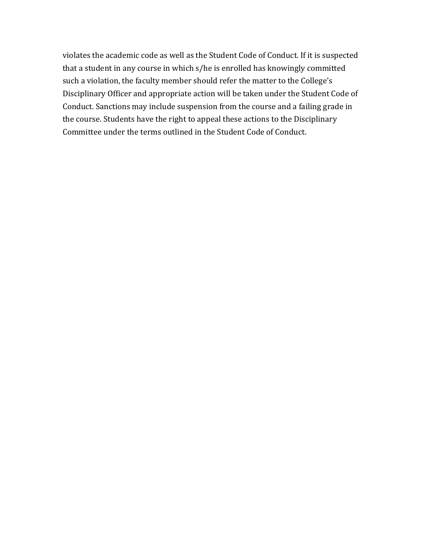violates the academic code as well as the Student Code of Conduct. If it is suspected that a student in any course in which s/he is enrolled has knowingly committed such a violation, the faculty member should refer the matter to the College's Disciplinary Officer and appropriate action will be taken under the Student Code of Conduct. Sanctions may include suspension from the course and a failing grade in the course. Students have the right to appeal these actions to the Disciplinary Committee under the terms outlined in the Student Code of Conduct.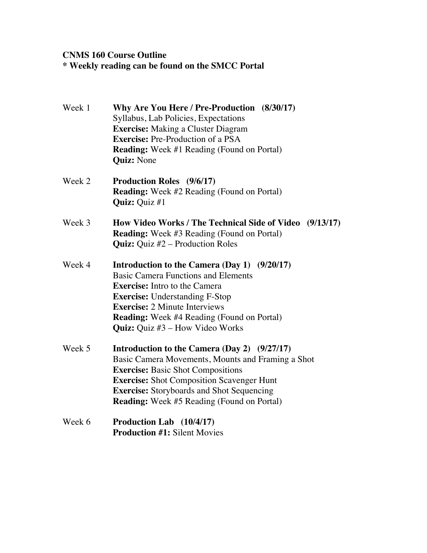# **CNMS 160 Course Outline \* Weekly reading can be found on the SMCC Portal**

| Week 1 | Why Are You Here / Pre-Production (8/30/17)<br>Syllabus, Lab Policies, Expectations<br><b>Exercise:</b> Making a Cluster Diagram<br><b>Exercise:</b> Pre-Production of a PSA<br><b>Reading:</b> Week #1 Reading (Found on Portal)                                                                                  |
|--------|--------------------------------------------------------------------------------------------------------------------------------------------------------------------------------------------------------------------------------------------------------------------------------------------------------------------|
|        | <b>Quiz:</b> None                                                                                                                                                                                                                                                                                                  |
| Week 2 | <b>Production Roles</b> (9/6/17)<br><b>Reading:</b> Week #2 Reading (Found on Portal)<br><b>Quiz:</b> Quiz #1                                                                                                                                                                                                      |
| Week 3 | How Video Works / The Technical Side of Video (9/13/17)<br><b>Reading:</b> Week #3 Reading (Found on Portal)<br><b>Quiz:</b> Quiz $#2$ – Production Roles                                                                                                                                                          |
| Week 4 | Introduction to the Camera (Day 1) (9/20/17)<br><b>Basic Camera Functions and Elements</b><br><b>Exercise:</b> Intro to the Camera<br><b>Exercise:</b> Understanding F-Stop<br><b>Exercise: 2 Minute Interviews</b><br><b>Reading:</b> Week #4 Reading (Found on Portal)<br><b>Quiz:</b> Quiz #3 – How Video Works |
| Week 5 | Introduction to the Camera (Day 2) (9/27/17)<br>Basic Camera Movements, Mounts and Framing a Shot<br><b>Exercise: Basic Shot Compositions</b><br><b>Exercise:</b> Shot Composition Scavenger Hunt<br><b>Exercise:</b> Storyboards and Shot Sequencing<br><b>Reading:</b> Week #5 Reading (Found on Portal)         |
| Week 6 | Production Lab (10/4/17)<br><b>Production #1: Silent Movies</b>                                                                                                                                                                                                                                                    |